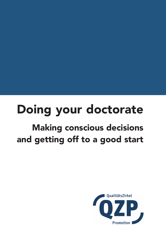# Doing your doctorate

## Making conscious decisions and getting off to a good start

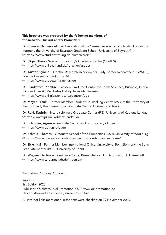#### This brochure was prepared by the following members of the network *QualitätsZirkel Promotion*:

Dr. Chmura, Nadine – Alumni Association of the German Academic Scholarship Foundation (formerly the University of Bayreuth Graduate School, University of Bayreuth) ☞ <https://www.studienstiftung.de/alumniverein/>

Dr. Jäger, Theo – Saarland University's Graduate Centre (GradUS) ☞ <https://www.uni-saarland.de/forschen/gradus>

Dr. Küster, Sybille – Goethe Research Academy for Early Career Researchers (GRADE), Goethe University Frankfurt a. M. ☞ <https://www.grade.uni-frankfurt.de>

Dr. Lundström, Kerstin – Giessen Graduate Centre for Social Sciences, Business, Economics and Law (GGS), Justus Liebig University Giessen ☞ <https://www.uni-giessen.de/fbz/zentren/ggs>

Dr. Meyer, Frank – Former Member, Student Counselling Centre (ZSB) of the University of Trier (formerly the International Graduate Centre, University of Trier)

Dr. Ruhl, Kathrin – Interdisciplinary Graduate Center (IPZ), University of Koblenz-Landau ☞ <http://www.ipz.uni-koblenz-landau.de>

Dr. Schindler, Agnes – Graduate Center (GUT), University of Trier ☞ <https://www.gut.uni-trier.de>

Dr. Schmid, Thomas - Graduate School of the Humanities (GSH), University of Würzburg ☞ <https://www.graduateschools.uni-wuerzburg.de/humanities/home/>

Dr. Sicks, Kai – Former Member, International Office, University of Bonn (formerly the Bonn Graduate Center (BGZ), University of Bonn)

Dr. Wagner, Bettina – Ingenium – Young Researchers at TU Darmstadt, TU Darmstadt ☞ <https://www.tu-darmstadt.de/ingenium>

Translation: Anthony Armiger II

Imprint: 1st Edition 2020 Publisher: QualitätsZirkel Promotion (QZP) www.qz-promotion.de Design: Alexandra Schneider, University of Trier

All internet links mentioned in the text were checked on 29 November 2019.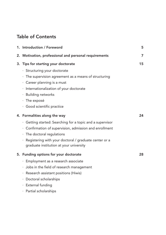## Table of Contents

| 1. Introduction / Foreword                                | 5  |
|-----------------------------------------------------------|----|
| 2. Motivation, professional and personal requirements     | 7  |
| 3. Tips for starting your doctorate                       | 15 |
| · Structuring your doctorate                              |    |
| · The supervision agreement as a means of structuring     |    |
| · Career planning is a must                               |    |
| · Internationalization of your doctorate                  |    |
| · Building networks                                       |    |
| $\cdot$ The exposé                                        |    |
| · Good scientific practice                                |    |
| 4. Formalities along the way                              | 24 |
| · Getting started: Searching for a topic and a supervisor |    |
| · Confirmation of supervision, admission and enrollment   |    |
| · The doctoral regulations                                |    |
| · Registering with your doctoral / graduate center or a   |    |
| graduate institution at your university                   |    |
| 5. Funding options for your doctorate                     | 28 |
| · Employment as a research associate                      |    |
| · Jobs in the field of research management                |    |
| Research assistant positions (Hiwis)<br>$\bullet$         |    |
| · Doctoral scholarships                                   |    |
| · External funding                                        |    |
| · Partial scholarships                                    |    |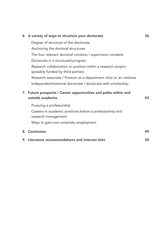|  | 6. A variety of ways to structure your doctorate                                                     | 36 |
|--|------------------------------------------------------------------------------------------------------|----|
|  | · Degree of structure of the doctorate                                                               |    |
|  | · Anchoring the doctoral structures                                                                  |    |
|  | The four relevant doctoral contexts / supervision contexts<br>$\bullet$                              |    |
|  | Doctorate in a structured program<br>$\bullet$                                                       |    |
|  | · Research collaboration or position within a research project<br>(possibly funded by third parties) |    |
|  | · Research associate / Position at a department chair or an institute                                |    |
|  | Independent/external doctorate / doctorate with scholarship<br>٠                                     |    |
|  | 7. Future prospects / Career opportunities and paths within and<br>outside academia                  | 43 |
|  | · Pursuing a professorship                                                                           |    |
|  | Careers in academic positions below a professorship and<br>$\bullet$ .<br>research management        |    |
|  | Ways to gain non-university employment<br>٠                                                          |    |
|  | 8. Conclusion                                                                                        | 49 |
|  | 9. Literature recommendations and internet links                                                     | 50 |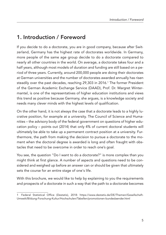## 1. Introduction / Foreword

If you decide to do a doctorate, you are in good company, because after Switzerland, Germany has the highest rate of doctorates worldwide. In Germany, more people of the same age group decide to do a doctorate compared to nearly all other countries in the world. On average, a doctorate takes four and a half years, although most models of duration and funding are still based on a period of three years. Currently, around 200,000 people are doing their doctorates at German universities and the number of doctorates awarded annually has risen steadily over the past decades, reaching 29,303 in 2016. <sup>1</sup> The former President of the German Academic Exchange Service (DAAD), Prof. Dr. Margret Wintermantel, is one of the representatives of higher education institutions and views this trend as positive because Germany, she argues, is a knowledge society and needs many clever minds with the highest levels of qualification.

On the other hand, it is not always the case that a doctorate leads to a highly lucrative position, for example at a university. The Council of Science and Humanities – the advisory body of the federal government on questions of higher education policy – points out (2014) that only 4% of current doctoral students will ultimately be able to take up a permanent contract position at a university. Furthermore, the path from making the decision to pursue a doctorate to the moment when the doctoral degree is awarded is long and often fraught with obstacles that need to be overcome in order to reach one's goal.

You see, the question "Do I want to do a doctorate?" is more complex than you might think at first glance. A number of aspects and questions need to be considered and weighed up before an answer can or should be given that ultimately sets the course for an entire stage of one's life.

With this brochure, we would like to help by explaining to you the requirements and prospects of a doctorate in such a way that the path to a doctorate becomes

<sup>1</sup> Federal Statistical Office (Destatis), 2018: [https://www.destatis.de/DE/Themen/Gesellschaft-](https://www.destatis.de/DE/Themen/Gesellschaft-Umwelt/Bildung-Forschung-Kultur/Hochschulen/Tabellen/promotionen-bundeslaender.html)[Umwelt/Bildung-Forschung-Kultur/Hochschulen/Tabellen/promotionen-bundeslaender.html](https://www.destatis.de/DE/Themen/Gesellschaft-Umwelt/Bildung-Forschung-Kultur/Hochschulen/Tabellen/promotionen-bundeslaender.html)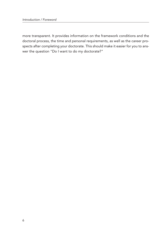more transparent. It provides information on the framework conditions and the doctoral process, the time and personal requirements, as well as the career prospects after completing your doctorate. This should make it easier for you to answer the question "Do I want to do my doctorate?"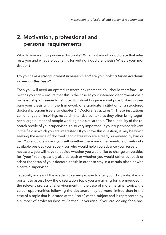## 2. Motivation, professional and personal requirements

Why do you want to pursue a doctorate? What is it about a doctorate that interests you and what are your aims for writing a doctoral thesis? What is your motivation?

#### *Do you have a strong interest in research and are you looking for an academic career on this basis?*

Then you will need an optimal research environment. You should therefore – as best as you can – ensure that this is the case at your intended department chair, professorship or research institute. You should inquire about possibilities to prepare your thesis within the framework of a graduate institution or a structured doctoral program (see also chapter 6 "Doctoral Structures"). These institutions can offer you an inspiring, research-intensive context, as they often bring together a large number of people working on a similar topic. The suitability of the research profile of your supervisor is also very important. Is your supervisor relevant in the field in which you are interested? If you have this question, it may be worth seeking the advice of doctoral candidates who are already supervised by him or her. You should also ask yourself whether there are other mentors or networks available besides your supervisor who would help you advance your research. If necessary, you will have to decide whether you would like to change universities for "your" topic (possibly also abroad) or whether you would rather cut back or adapt the focus of your doctoral thesis in order to stay in a certain place or with a certain supervisor.

Especially in view of the academic career prospects after your doctorate, it is important to assess how the dissertation topic you are aiming for is embedded in the relevant professional environment. In the case of more marginal topics, the career opportunities following the doctorate may be more limited than in the case of a topic that is located at the "core" of the subject and is represented by a number of professorships at German universities. If you are looking for a pro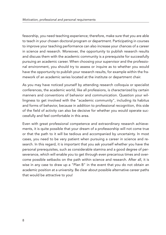fessorship, you need teaching experience; therefore, make sure that you are able to teach in your chosen doctoral program or department. Participating in courses to improve your teaching performance can also increase your chances of a career in science and research. Moreover, the opportunity to publish research results and discuss them with the academic community is a prerequisite for successfully pursuing an academic career. When choosing your supervisor and the professional environment, you should try to assess or inquire as to whether you would have the opportunity to publish your research results, for example within the framework of an academic series located at the institute or department chair.

As you may have noticed yourself by attending research colloquia or specialist conferences, the academic world, like all professions, is characterized by certain manners and conventions of behavior and communication. Question your willingness to get involved with the "academic community", including its habitus and forms of behavior, because in addition to professional recognition, this side of the field of activity can also be decisive for whether you would operate successfully and feel comfortable in this area.

Even with great professional competence and extraordinary research achievements, it is quite possible that your dream of a professorship will not come true or that the path to it will be tedious and accompanied by uncertainty. In most cases, you need to be very patient when pursuing a career in science and research. In this regard, it is important that you ask yourself whether you have the personal prerequisites, such as considerable stamina and a good degree of perseverance, which will enable you to get through even precarious times and overcome possible setbacks on the path within science and research. After all, it is wise in any case to draw up a "Plan B" in the event that you do not obtain an academic position at a university. Be clear about possible alternative career paths that would be attractive to you!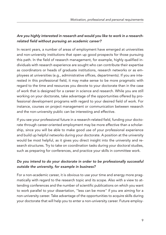#### *Are you highly interested in research and would you like to work in a researchrelated field without pursuing an academic career?*

In recent years, a number of areas of employment have emerged at universities and non-university institutions that open up good prospects for those pursuing this path. In the field of research management, for example, highly qualified individuals with research experience are sought who can contribute their expertise as coordinators or heads of graduate institutions, research networks or as employees at universities (e.g., administrative offices, departments). If you are interested in this professional field, it may make sense to be more pragmatic with regard to the time and resources you devote to your doctorate than in the case of work that is designed for a career in science and research. While you are still working on your doctorate, take advantage of the opportunities offered by professional development programs with regard to your desired field of work. For instance, courses on project management or communication between research and the non-university public can be interesting and effective.

If you see your professional future in a research-related field, funding your doctorate through career-oriented employment may be more effective than a scholarship, since you will be able to make good use of your professional experience and build up helpful networks during your doctorate. A position at the university would be most helpful, as it gives you direct insight into the university and research structures. Try to take on coordination tasks during your doctoral studies, such as preparing for conferences, and practice your skills in committee work.

#### *Do you intend to do your doctorate in order to be professionally successful outside the university, for example in business?*

For a non-academic career, it is obvious to use your time and energy more pragmatically with regard to the research topic and its scope. Also with a view to attending conferences and the number of scientific publications on which you want to work parallel to your dissertation, "less can be more" if you are aiming for a non-university career. Take advantage of the opportunities to acquire skills during your doctorate that will help you to enter a non-university career. Future employ-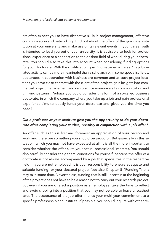ers often expect you to have distinctive skills in project management, effective communication and networking. Find out about the offers of the graduate institution at your university and make use of its relevant events! If your career path is intended to lead you out of your university, it is advisable to look for professional experience or a connection to the desired field of work during your doctorate. You should also take this into account when considering funding options for your doctorate. With the qualification goal "non-academic career", a job-related activity can be more meaningful than a scholarship. In some specialist fields, doctorates in cooperation with business are common and at such project locations you have close contact with the client of the project, gain insights into commercial project management and can practice non-university communication and thinking patterns. Perhaps you could consider this form of a so-called business doctorate, in which the company where you take up a job and gain professional experience simultaneously funds your doctorate and gives you the time you need?

#### *Did a professor at your institute give you the opportunity to do your doctorate after completing your studies, possibly in conjunction with a job offer?*

An offer such as this is first and foremost an appreciation of your person and work and therefore something you should be proud of. But especially in this situation, which you may not have expected at all, it is all the more important to consider whether the offer suits your actual professional interests. You should also carefully consider the general conditions for yourself, because the offer of a doctorate is not always accompanied by a job that specializes in the respective field. If you are not employed, it is your responsibility to ensure adequate and suitable funding for your doctoral project (see also Chapter 5 "Funding"); this may take some time. Nevertheless, funding that is still uncertain at the beginning of the project does not have to be a reason not to carry out your research project. But even if you are offered a position as an employee, take the time to reflect and avoid slipping into a position that you may not be able to leave unscathed later. The acceptance of the job offer implies your multi-year commitment to a specific professorship and institute. If possible, you should inquire with other re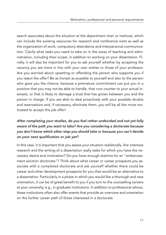search associates about the situation at the department chair or institute, which can include the existing resources for research and conference visits as well as the organization of work, compulsory attendance and interpersonal communication. Clarify what tasks you need to take on in the areas of teaching and administration, including their scope, in addition to working on your dissertation. Finally, it will also be important for you to ask yourself whether by accepting the vacancy you are more in line with your own wishes or those of your professor. Are you worried about upsetting or offending the person who supports you if you reject the offer? Be as honest as possible to yourself and also to the person who gave you the chance, because a premature commitment can put you in a position that you may not be able to handle, that runs counter to your actual interests, or that is likely to damage a trust that has grown between you and the person in charge. If you are able to deal proactively with your possible doubts and reservations and, if necessary, eliminate them, you will be all the more motivated to accept the job offer!

#### *After completing your studies, do you feel rather undecided and not yet fully aware of the path you want to take? Are you considering a doctorate because you don't know which other step you should take or because you can't decide on your next qualification or job yet?*

In this case, it is important that you assess your situation realistically: Are intensive research and the writing of a dissertation really tasks for which you have the necessary desire and motivation? Do you have enough stamina for an "embarrassment solution doctorate"? Think about what career or career prospects you associate with a completed doctorate and ask yourself whether there could be career and other development prospects for you that would be an alternative to a dissertation. Particularly in a phase in which you would like a thorough and new orientation, it can be of great benefit to you if you turn to the counselling centers at your university, e.g., in graduate institutions. In addition to professional advice, these institutions often also offer events that provide an overview and orientation on the further career path of those interested in a doctorate.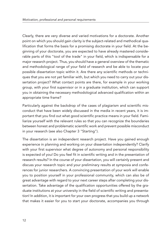Clearly, there are very diverse and varied motivations for a doctorate. Another point on which you should gain clarity is the subject-related and methodical qualification that forms the basis for a promising doctorate in your field. At the beginning of your doctorate, you are expected to have already mastered considerable parts of this "tool of the trade" in your field, which is indispensable for a major research project. Thus, you should have a general overview of the thematic and methodological range of your field of research and be able to locate your possible dissertation topic within it. Are there any scientific methods or techniques that you are not yet familiar with, but which you need to carry out your dissertation project? What contact points are there, for example in your working group, with your first supervisor or in a graduate institution, which can support you in obtaining the necessary methodological advanced qualification within an appropriate time frame?

Particularly against the backdrop of the cases of plagiarism and scientific misconduct that have been widely discussed in the media in recent years, it is important that you find out what good scientific practice means in your field. Familiarize yourself with the relevant rules so that you can recognize the boundaries between honest and problematic scientific work and prevent possible misconduct in your research (see also Chapter 3 "Starting").

The dissertation is an independent research project. Have you gained enough experience in planning and working on your dissertation independently? Clarify with your first supervisor what degree of autonomy and personal responsibility is expected of you! Do you feel fit in scientific writing and in the presentation of research results? In the course of your dissertation, you will certainly present and discuss your research topic and your preliminary results at symposia and conferences for junior researchers. A convincing presentation of your work will enable you to position yourself in your professional community, which can also be of great advantage with regard to your next career steps after completing your dissertation. Take advantage of the qualification opportunities offered by the graduate institutions at your university in the field of scientific writing and presentation! In addition, it is important for your own progress that you build up a network that makes it easier for you to start your doctorate, accompanies you through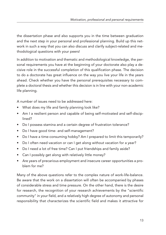the dissertation phase and also supports you in the time between graduation and the next step in your personal and professional planning. Build up this network in such a way that you can also discuss and clarify subject-related and methodological questions with your peers!

In addition to motivation and thematic and methodological knowledge, the personal requirements you have at the beginning of your doctorate also play a decisive role in the successful completion of this qualification phase. The decision to do a doctorate has great influence on the way you live your life in the years ahead. Check whether you have the personal prerequisites necessary to complete a doctoral thesis and whether this decision is in line with your non-academic life planning.

A number of issues need to be addressed here:

- What does my life and family planning look like?
- Am I a resilient person and capable of being self-motivated and self-disciplined?
- Do I possess stamina and a certain degree of frustration tolerance?
- Do I have good time- and self-management?
- Do I have a time-consuming hobby? Am I prepared to limit this temporarily?
- Do I often need vacation or can I get along without vacation for a year?
- Do I need a lot of free time? Can I put friendships and family aside?
- Can I possibly get along with relatively little money?
- Are years of precarious employment and insecure career opportunities a problem for me?

Many of the above questions refer to the complex nature of work-life-balance. Be aware that the work on a dissertation will often be accompanied by phases of considerable stress and time pressure. On the other hand, there is the desire for research, the recognition of your research achievements by the "scientific community" in your field, and a relatively high degree of autonomy and personal responsibility that characterizes the scientific field and makes it attractive for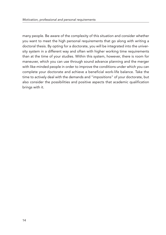many people. Be aware of the complexity of this situation and consider whether you want to meet the high personal requirements that go along with writing a doctoral thesis. By opting for a doctorate, you will be integrated into the university system in a different way and often with higher working time requirements than at the time of your studies. Within this system, however, there is room for maneuver, which you can use through sound advance planning and the merger with like-minded people in order to improve the conditions under which you can complete your doctorate and achieve a beneficial work-life balance. Take the time to actively deal with the demands and "impositions" of your doctorate, but also consider the possibilities and positive aspects that academic qualification brings with it.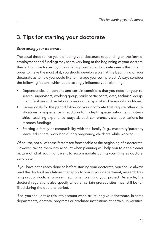## 3. Tips for starting your doctorate

#### *Structuring your doctorate*

The usual three to five years of doing your doctorate (depending on the form of employment and funding) may seem very long at the beginning of your doctoral thesis. Don't be fooled by this initial impression; a doctorate needs this time. In order to make the most of it, you should develop a plan at the beginning of your doctorate as to how you would like to manage your own project. Always consider the following factors, which could strongly influence your planning:

- Dependencies on persons and certain conditions that you need for your research (supervisors, working group, study participants, data, technical equipment, facilities such as laboratories or other spatial and temporal conditions);
- Career goals for the period following your doctorate that require other qualifications or experience in addition to in-depth specialization (e.g., internships, teaching experience, stays abroad, conference visits, applications for research funding);
- Starting a family or compatibility with the family (e.g., maternity/paternity leave, adult care, work ban during pregnancy, childcare while working).

Of course, not all of these factors are foreseeable at the beginning of a doctorate. However, taking them into account when planning will help you to get a clearer picture of what you might want to accommodate during your time as doctoral candidate.

If you have not already done so before starting your doctorate, you should always read the doctoral regulations that apply to you in your department, research training group, doctoral program, etc. when planning your project. As a rule, the doctoral regulations also specify whether certain prerequisites must still be fulfilled during the doctoral period.

If so, you should take this into account when structuring your doctorate. In some departments, doctoral programs or graduate institutions at certain universities,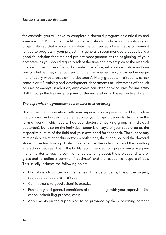for example, you will have to complete a doctoral program or curriculum and even earn ECTS or other credit points. You should include such points in your project plan so that you can complete the courses at a time that is convenient for you to progress in your project. It is generally recommended that you build a good foundation for time and project management at the beginning of your doctorate, as you should regularly adapt the time and project plan to the research process in the course of your doctorate. Therefore, ask your institution and university whether they offer courses on time management and/or project management (ideally with a focus on the doctorate). Many graduate institutions, career centers or HR training and development departments at universities offer such courses nowadays. In addition, employees can often book courses for university staff through the training programs of the universities or the respective state.

#### *The supervision agreement as a means of structuring*

How close the cooperation with your supervisor or supervisors will be, both in the planning and in the implementation of your project, depends strongly on the form of work in which you will do your doctorate (working group vs. individual doctorate), but also on the individual supervision style of your supervisor(s), the respective culture of the field and your own need for feedback. The supervisory relationship is a relationship between both sides, the supervisor and the doctoral student, the functioning of which is shaped by the individuals and the resulting interactions between them. It is highly recommended to sign a supervision agreement in order to reach a common understanding about the project and its progress and to define a common "roadmap" and the respective responsibilities. This usually includes the following points:

- Formal details concerning the names of the participants, title of the project, subject area, doctoral institution;
- Commitment to good scientific practice;
- Frequency and general conditions of the meetings with your supervisor (location, scheduling process, etc.);
- Agreements on the supervision to be provided by the supervising persons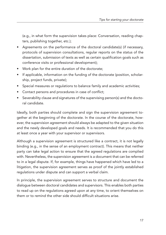(e.g., in what form the supervision takes place: Conversation, reading chapters, publishing together, etc.);

- Agreements on the performance of the doctoral candidate(s) (if necessary, protocols of supervision consultations, regular reports on the status of the dissertation, submission of texts as well as certain qualification goals such as conference visits or professional development);
- Work plan for the entire duration of the doctorate;
- If applicable, information on the funding of the doctorate (position, scholarship, project funds, private);
- Special measures or regulations to balance family and academic activities:
- Contact persons and procedures in case of conflict;
- Severability clause and signatures of the supervising person(s) and the doctoral candidate.

Ideally, both parties should complete and sign the supervision agreement together at the beginning of the doctorate. In the course of the doctorate, however, the supervision agreement should always be adapted to the given situation and the newly developed goals and needs. It is recommended that you do this at least once a year with your supervisor or supervisors.

Although a supervision agreement is structured like a contract, it is not legally binding (e.g., in the sense of an employment contract). This means that neither party can take legal action to ensure that the agreed regulations are complied with. Nevertheless, the supervision agreement is a document that can be referred to in a legal dispute. If, for example, things have happened which have led to a litigation, the supervision agreement serves as proof of the jointly established regulations under dispute and can support a verbal claim.

In principle, the supervision agreement serves to structure and document the dialogue between doctoral candidates and supervisors. This enables both parties to read up on the regulations agreed upon at any time, to orient themselves on them or to remind the other side should difficult situations arise.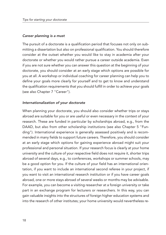#### *Career planning is a must*

The pursuit of a doctorate is a qualification period that focuses not only on submitting a dissertation but also on professional qualification. You should therefore consider at the outset whether you would like to stay in academia after your doctorate or whether you would rather pursue a career outside academia. Even if you are not sure whether you can answer this question at the beginning of your doctorate, you should consider at an early stage which options are possible for you at all. A workshop or individual coaching for career planning can help you to define your goals more clearly for yourself and to get to know and understand the qualification requirements that you should fulfill in order to achieve your goals (see also Chapter 7 "Career").

#### *Internationalization of your doctorate*

When planning your doctorate, you should also consider whether trips or stays abroad are suitable for you or are useful or even necessary in the context of your research. These are funded in particular by scholarships abroad, e.g., from the DAAD, but also from other scholarship institutions (see also Chapter 5 "Funding"). International experience is generally assessed positively and is recommended in many fields to support future careers. Therefore, you should consider at an early stage which options for gaining experience abroad might suit your professional and personal situation. If your research focus is clearly at your home university and the culture of your respective field does not require it, shorter trips abroad of several days, e.g., to conferences, workshops or summer schools, may be a good option for you. If the culture of your field has an international orientation, if you want to include an international second referee in your project, if you want to visit an international research institution or if you have career goals abroad, one or more stays abroad of several weeks or months may be advisable. For example, you can become a visiting researcher at a foreign university or take part in an exchange program for lecturers or researchers. In this way, you can gain valuable insights into the structures of foreign higher education systems and into the research of other institutes; your home university would nevertheless re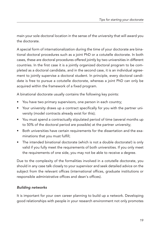main your sole doctoral location in the sense of the university that will award you the doctorate.

A special form of internationalization during the time of your doctorate are binational doctoral procedures such as a joint PhD or a cotutelle doctorate. In both cases, these are doctoral procedures offered jointly by two universities in different countries. In the first case it is a jointly organized doctoral program to be completed as a doctoral candidate, and in the second case, it is an individual agreement to jointly supervise a doctoral student. In principle, every doctoral candidate is free to pursue a cotutelle doctorate, whereas a joint PhD can only be acquired within the framework of a fixed program.

A binational doctorate usually contains the following key points:

- You have two primary supervisors, one person in each country;
- Your university draws up a contract specifically for you with the partner university (model contracts already exist for this);
- You must spend a contractually stipulated period of time (several months up to 50% of the doctoral period are possible) at the partner university;
- Both universities have certain requirements for the dissertation and the examinations that you must fulfill;
- The intended binational doctorate (which is not a double doctorate!) is only valid if you fully meet the requirements of both universities. If you only meet the requirements of one side, you may not be able to receive a degree.

Due to the complexity of the formalities involved in a cotutelle doctorate, you should in any case talk closely to your supervisor and seek detailed advice on the subject from the relevant offices (international offices, graduate institutions or responsible administrative offices and dean's offices).

#### *Building networks*

It is important for your own career planning to build up a network. Developing good relationships with people in your research environment not only promotes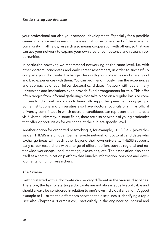your professional but also your personal development. Especially for a possible career in science and research, it is essential to become a part of the academic community. In all fields, research also means cooperation with others, so that you can use your network to expand your own area of competence and research opportunities.

In particular, however, we recommend networking at the same level, i.e. with other doctoral candidates and early career researchers, in order to successfully complete your doctorate. Exchange ideas with your colleagues and share good and bad experiences with them. You can profit enormously from the experiences and approaches of your fellow doctoral candidates. Network with peers; many universities and institutions even provide fixed arrangements for this. This offer often ranges from informal gatherings that take place on a regular basis or committees for doctoral candidates to financially supported peer-mentoring groups. Some institutions and universities also have doctoral councils or similar official university committees in which doctoral candidates can represent their interests vis-à-vis the university. In some fields, there are also networks of young academics that offer opportunities for exchange at the subject-specific level.

Another option for organized networking is, for example, THESIS e.V. [\(www.the](www.thesis.de)[sis.de\)](www.thesis.de). THESIS is a unique, Germany-wide network of doctoral candidates who exchange ideas with each other beyond their own university. THESIS supports early career researchers with a range of different offers such as regional and nationwide workshops, local meetings, excursions, etc. The association also sees itself as a communication platform that bundles information, opinions and developments for junior researchers.

#### *The Exposé*

Getting started with a doctorate can be very different in the various disciplines. Therefore, the tips for starting a doctorate are not always equally applicable and should always be considered in relation to one's own individual situation. A good example to illustrate the differences between the disciplines is identifying a topic (see also Chapter 4 "Formalities"): particularly in the engineering, natural and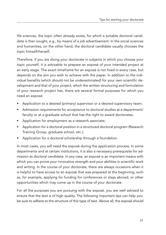life sciences, the topic often already exists, for which a suitable doctoral candidate is then sought, e.g., by means of a job advertisement. In the social sciences and humanities, on the other hand, the doctoral candidate usually chooses the topic himself/herself.

Therefore, if you are doing your doctorate in subjects in which you choose your topic yourself, it is advisable to prepare an exposé of your intended project at an early stage. The exact timeframe for an exposé is not fixed in every case, but depends on the aim you wish to achieve with the paper. In addition to the individual benefits (which should not be underestimated) for your own scientific development and that of your project, which the written structuring and formulation of your research project has, there are several formal purposes for which you need an exposé:

- Application to a desired (primary) supervisor or a desired supervisory team;
- Admission requirements for acceptance to doctoral studies at a department/ faculty or at a graduate school that has the right to award doctorates;
- Application for employment as a research associate;
- Application for a doctoral position in a structured doctoral program (Research Training Group, graduate school, etc.);
- Application for a doctoral scholarship through a foundation.

In most cases, you will need the exposé during the application process. In some departments and at certain institutions, it is also a necessary prerequisite for admission as doctoral candidate. In any case, an exposé is an important means with which you can prove your innovative strength and your abilities in scientific work and writing. In the course of your doctorate, there are always occasions when it is helpful to have access to an exposé that was prepared at the beginning, such as, for example, applying for funding for conferences or stays abroad, or other opportunities which may come up in the course of your doctorate.

For all the purposes you are pursuing with the exposé, you are well advised to ensure that the text is of high quality. The following important tips can help you: be sure to adhere to the structure of this type of text. Above all, the exposé should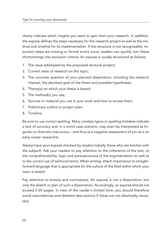clearly indicate which insights you want to gain from your research. In addition, the exposé defines the steps necessary for the research project as well as the method and timeline for its implementation. If this structure is not recognizable, important steps are missing or formal errors occur, readers can quickly turn these shortcomings into exclusion criteria. An exposé is usually structured as follows:

- 1. The issue addressed by the proposed doctoral project;
- 2. Current state of research on the topic;
- 3. The concrete question of your planned dissertation, including the research interest, the declared goal of the thesis and possible hypotheses;
- 4. Theory(s) on which your thesis is based;
- 5. The method(s) you use;
- 6. Sources or material you use in your work and how to access them;
- 7. Preliminary outline or project plan;
- 8. Timeline.

Be sure to use correct spelling. Many careless typos or spelling mistakes indicate a lack of accuracy and, in a worst-case scenario, may even be interpreted as linguistic or thematic inaccuracy – and thus as a negative assessment of you as a an early career researcher.

Always have your exposé checked by readers (ideally those who are familiar with the subject). Ask your readers to pay attention to the coherence of the text, to the comprehensibility, logic and persuasiveness of the argumentation as well as to the correct use of technical terms. When writing, attach importance to straightforward language that is appropriate for the culture of the field within which your topic is based.

Pay attention to brevity and conciseness. An exposé is not a dissertation, but only the sketch or plan of such a dissertation. Accordingly, an exposé should not exceed 5-20 pages. In view of the reader's limited time, you should therefore avoid redundancies and detailed descriptions if these are not absolutely necessary.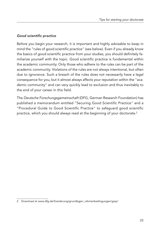#### *Good scientific practice*

Before you begin your research, it is important and highly advisable to keep in mind the "rules of good scientific practice" (see below). Even if you already know the basics of good scientific practice from your studies, you should definitely familiarize yourself with the topic. Good scientific practice is fundamental within the academic community. Only those who adhere to the rules can be part of the academic community. Violations of the rules are not always intentional, but often due to ignorance. Such a breach of the rules does not necessarily have a legal consequence for you, but it almost always affects your reputation within the "academic community" and can very quickly lead to exclusion and thus inevitably to the end of your career in this field.

The *Deutsche Forschungsgemeinschaft* (DFG, German Research Foundation) has published a memorandum entitled "Securing Good Scientific Practice" and a "Procedural Guide to Good Scientific Practice" to safeguard good scientific practice, which you should always read at the beginning of your doctorate. 2

<sup>2</sup> Download at [www.dfg.de/foerderung/grundlagen\\_rahmenbedingungen/gwp/](www.dfg.de/foerderung/grundlagen_rahmenbedingungen/gwp/)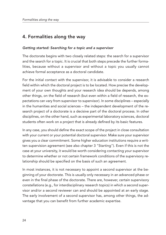## 4. Formalities along the way

#### *Getting started: Searching for a topic and a supervisor*

The doctorate begins with two closely related steps: the search for a supervisor and the search for a topic. It is crucial that both steps precede the further formalities, because without a supervisor and without a topic you usually cannot achieve formal acceptance as a doctoral candidate.

For the initial contact with the supervisor, it is advisable to consider a research field within which the doctoral project is to be located. How precise the development of your own thoughts and your research idea should be depends, among other things, on the field of research (but even within a field of research, the expectations can vary from supervisor to supervisor). In some disciplines – especially in the humanities and social sciences – the independent development of the research project of a doctorate is a decisive part of the doctoral process. In other disciplines, on the other hand, such as experimental laboratory sciences, doctoral students often work on a project that is already defined by its basic features.

In any case, you should define the exact scope of the project in close consultation with your current or your potential doctoral supervisor. Make sure your supervisor gives you a clear commitment. Some higher education institutions require a written supervision agreement (see also chapter 3 "Starting"). Even if this is not the case at your university, it would be worth considering contacting your supervisor to determine whether or not certain framework conditions of the supervisory relationship should be specified on the basis of such an agreement.

In most instances, it is not necessary to appoint a second supervisor at the beginning of your doctorate. This is usually only necessary in an advanced phase or even in the final phase of the doctorate. There are, however, certain supervisory constellations (e.g., for interdisciplinary research topics) in which a second supervisor and/or a second reviewer can and should be appointed at an early stage. The early involvement of a second supervisor has, among other things, the advantage that you can benefit from further academic expertise.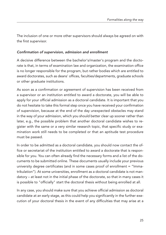The inclusion of one or more other supervisors should always be agreed on with the first supervisor.

#### *Confirmation of supervision, admission and enrollment*

A decisive difference between the bachelor's/master's program and the doctorate is that, in terms of examination law and organization, the examination office is no longer responsible for the program, but rather bodies which are entitled to award doctorates, such as deans' offices, faculties/departments, graduate schools or other graduate institutions.

As soon as a confirmation or agreement of supervision has been received from a supervisor or an institution entitled to award a doctorate, you will be able to apply for your official admission as a doctoral candidate. It is important that you do not hesitate to take this formal step once you have received your confirmation of supervision, because at the end of the day unexpected obstacles may stand in the way of your admission, which you should better clear up sooner rather than later, e.g., the possible problem that another doctoral candidate wishes to register with the same or a very similar research topic, that specific study or examination work still needs to be completed or that an aptitude test procedure must be passed.

In order to be admitted as a doctoral candidate, you should now contact the office or secretariat of the institution entitled to award a doctorate that is responsible for you. You can often already find the necessary forms and a list of the documents to be submitted online. These documents usually include your previous university degree certificates (and in some cases proof of enrollment = "Immatrikulation"). At some universities, enrollment as a doctoral candidate is not mandatory – at least not in the initial phase of the doctorate, so that in many cases it is possible to "officially" start the doctoral thesis without being enrolled at all.

In any case, you should make sure that you achieve official admission as doctoral candidate at an early stage, as this could help you significantly in the further execution of your doctoral thesis in the event of any difficulties that may arise at a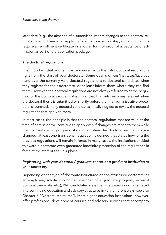later date (e.g., the absence of a supervisor, interim changes to the doctoral regulations, etc.). Even when applying for a doctoral scholarship, some foundations require an enrollment certificate or another form of proof of acceptance or admission as part of the application package.

#### *The doctoral regulations*

It is important that you familiarize yourself with the valid doctoral regulations right from the start of your doctorate. Some dean's offices/institutes/faculties hand over the currently valid doctoral regulations to doctoral candidates when they register for their doctorate, or at least inform them where they can find them. However, the doctoral regulations are not always referred to at the beginning of the doctoral program. Assuming that this only becomes relevant when the doctoral thesis is submitted or shortly before the final administrative procedure is launched, many doctoral candidates initially neglect to review the doctoral regulations that apply to them.

In most cases, the principle is that the doctoral regulations that are valid at the time of admission will continue to apply even if changes are made to them while the doctorate is in progress. As a rule, when the doctoral regulations are changed, at least one transitional regulation is defined that states how long the previous regulations will remain in force. In many cases, the institutions entitled to award a doctorate even guarantee indefinite protection of the regulations in force at the start of the PhD phase.

#### *Registering with your doctoral / graduate center or a graduate institution at your university*

Depending on the type of doctorate (structured or non-structured doctorate; as an employee, scholarship holder, member of a graduate program, external doctoral candidate, etc.), PhD candidates are either integrated or not integrated into continuing education and advisory structures in very different ways (see also Chapter 6 "Doctoral structures"). Most higher education institutions, however, offer professional development courses and advisory services that accompany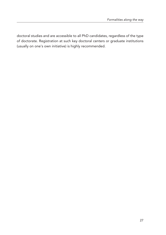doctoral studies and are accessible to all PhD candidates, regardless of the type of doctorate. Registration at such key doctoral centers or graduate institutions (usually on one's own initiative) is highly recommended.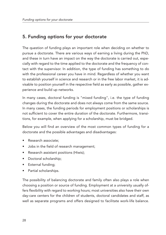## 5. Funding options for your doctorate

The question of funding plays an important role when deciding on whether to pursue a doctorate. There are various ways of earning a living during the PhD, and these in turn have an impact on the way the doctorate is carried out, especially with regard to the time applied to the doctorate and the frequency of contact with the supervisor. In addition, the type of funding has something to do with the professional career you have in mind. Regardless of whether you want to establish yourself in science and research or in the free labor market, it is advisable to position yourself in the respective field as early as possible, gather experience and build up networks.

In many cases, doctoral funding is "mixed funding", i.e. the type of funding changes during the doctorate and does not always come from the same source. In many cases, the funding periods for employment positions or scholarships is not sufficient to cover the entire duration of the doctorate. Furthermore, transitions, for example, when applying for a scholarship, must be bridged.

Below you will find an overview of the most common types of funding for a doctorate and the possible advantages and disadvantages:

- Research associate;
- Jobs in the field of research management;
- Research assistant positions (Hiwis);
- Doctoral scholarship;
- External funding;
- Partial scholarships.

The possibility of balancing doctorate and family often also plays a role when choosing a position or source of funding. Employment at a university usually offers flexibility with regard to working hours; most universities also have their own day-care centers for the children of students, doctoral candidates and staff, as well as separate programs and offers designed to facilitate work-life balance.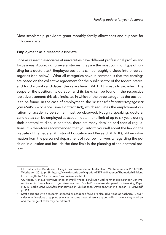Most scholarship providers grant monthly family allowances and support for childcare costs.

#### *Employment as a research associate*

Jobs as research associates at universities have different professional profiles and focus areas. According to several studies, they are the most common type of funding for a doctorate. <sup>3</sup> Employee positions can be roughly divided into three categories (see below). <sup>4</sup> What all categories have in common is that the earnings are based on the collective agreement for the public sector of the federal states, and for doctoral candidates, the salary level TV-L E 13 is usually provided. The scope of the position, its duration and its tasks can be found in the respective job advertisement; this also indicates in which of the three categories the position is to be found. In the case of employment, the *Wissenschaftszeitvertragsgesetz* (WissZeitVG – Science Time Contract Act), which regulates the employment duration for academic personnel, must be observed. Roughly speaking, doctoral candidates can be employed as academic staff for a limit of up to six years during their doctoral studies. In addition, there are many detailed and special regulations. It is therefore recommended that you inform yourself about the law on the website of the Federal Ministry of Education and Research (BMBF), obtain information from the personnel department of your own university regarding the position in question and include the time limit in the planning of the doctoral proiect.

<sup>3</sup> Cf. Statistisches Bundesamt (Hrsg.): Promovierende in Deutschland. Wintersemester 2014/2015, Wiesbaden 2016, p. 39: [https://www.destatis.de/Migration/DE/Publikationen/Thematisch/Bildung](https://www.destatis.de/Migration/DE/Publikationen/Thematisch/BildungForschungKultur/Hochschulen/Promovierende.html) [ForschungKultur/Hochschulen/Promovierende.html](https://www.destatis.de/Migration/DE/Publikationen/Thematisch/BildungForschungKultur/Hochschulen/Promovierende.html) Cf. Hauss, K. et al.: Promovierende im Profil: Wege, Strukturen und Rahmenbedingungen von Promotionen in Deutschland. Ergebnisse aus dem Profile-Promovierendenpanel. ifQ-Working Paper No. 13, Berlin 2012: [www.forschungsinfo.de/Publikationen/Download/working\\_paper\\_13\\_2012.pdf,](www.forschungsinfo.de/Publikationen/Download/working_paper_13_2012.pdf) p. 124.

<sup>4</sup> Staff positions with a research-oriented or academic focus are also advertised at (technical) universities or universities of applied sciences. In some cases, these are grouped into lower salary brackets and the range of tasks may be different.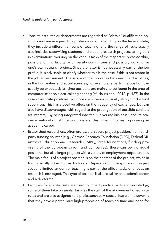- Jobs at institutes or departments are regarded as "classic" qualification positions and are assigned to a professorship. Depending on the federal state, they include a different amount of teaching, and the range of tasks usually also includes supervising students and student research projects, taking part in examinations, working on the various tasks of the respective professorship, possibly joining faculty or university committees and possibly working on one's own research project. Since the latter is not necessarily part of the job profile, it is advisable to clarify whether this is the case if this is not stated in the job advertisement. The scope of the job varies between the disciplines; in the humanities and social sciences, for example, a part-time position can usually be expected; full-time positions are mainly to be found in the area of computer science/electrical engineering (cf. Hauss et al. 2012, p. 127). In the case of institute positions, your boss or superior is usually also your doctoral supervisor. This has a positive effect on the frequency of exchanges, but can also have disadvantages with regard to the propagation of possible conflicts (of interest). By being integrated into the "university business" and its academic networks, institute positions are ideal when it comes to pursuing an academic career.
- Established researchers, often professors, secure project positions from thirdparty funding sources (e.g., German Research Foundation (DFG), Federal Ministry of Education and Research (BMBF), large foundations, funding programs of the European Union, and companies); these can be individual positions, but also larger projects with a variety of employment opportunities. The main focus of a project position is on the content of the project, which in turn is usually linked to the doctorate. Depending on the sponsor or project scope, a limited amount of teaching is part of the official tasks or a focus on research is envisaged. This type of position is also ideal for an academic career and a doctorate.
- Lecturers for specific tasks are hired to impart practical skills and knowledge; some of them take on similar tasks as the staff of the above-mentioned institutes and are also assigned to a professorship. A special feature, however, is that they have a particularly high proportion of teaching time and none for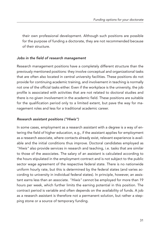their own professional development. Although such positions are possible for the purpose of funding a doctorate, they are not recommended because of their structure.

#### *Jobs in the field of research management*

Research management positions have a completely different structure than the previously mentioned positions: they involve conceptual and organizational tasks that are often also located in central university facilities. These positions do not provide for continuing academic training, and involvement in teaching is normally not one of the official tasks either. Even if the workplace is the university, the job profile is associated with activities that are not related to doctoral studies and there is no given involvement in the academic field. These positions are suitable for the qualification period only to a limited extent, but pave the way for management roles and less for a traditional academic career.

#### *Research assistant positions ("Hiwis")*

In some cases, employment as a research assistant with a degree is a way of entering the field of higher education, e.g., if the assistant applies for employment as a research associate, where contacts already exist, relevant experience is available and the initial conditions thus improve. Doctoral candidates employed as *"Hiwis"* also provide services in research and teaching, i.e. tasks that are similar to those of the associates. The salary of an assistant is calculated according to the hours stipulated in the employment contract and is not subject to the public sector wage agreement of the respective federal state. There is no nationwide uniform hourly rate, but this is determined by the federal states (and varies according to university in individual federal states). In principle, however, an assistant earns less than an associate. *"Hiwis"* cannot be employed for more than 19 hours per week, which further limits the earning potential in this position. The contract period is variable and often depends on the availability of funds. A job as a research assistant is therefore not a permanent solution, but rather a stepping stone or a source of temporary funding.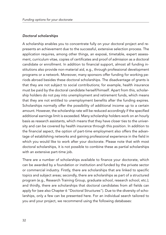#### *Doctoral scholarships*

A scholarship enables you to concentrate fully on your doctoral project and represents an achievement due to the successful, extensive selection process. The application requires, among other things, an exposé, timetable, expert assessment, curriculum vitae, copies of certificates and proof of admission as a doctoral candidate or enrollment. In addition to financial support, almost all funding institutions also provide non-material aid, e.g., through professional development programs or a network. Moreover, many sponsors offer funding for working periods abroad besides these doctoral scholarships. The disadvantage of grants is that they are not subject to social contributions; for example, health insurance must be paid by the doctoral candidate herself/himself. Apart from this, scholarship holders do not pay into unemployment and retirement funds, which means that they are not entitled to unemployment benefits after the funding expires. Scholarships normally offer the possibility of additional income up to a certain amount. However, the scholarship rate will be reduced accordingly if the specified additional earnings limit is exceeded. Many scholarship holders work on an hourly basis as research assistants, which means that they have closer ties to the university and can be covered by health insurance through this position. In addition to the financial aspect, the option of part-time employment also offers the advantage of establishing networks and gaining professional experience in the field in which you would like to work after your doctorate. Please note that with most doctoral scholarships, it is not possible to combine these as partial scholarships with an extensive part-time job.

There are a number of scholarships available to finance your doctorate, which can be awarded by a foundation or institution and funded by the private sector or commercial industry. Firstly, there are scholarships that are linked to specific topics and subject areas; secondly, there are scholarships as part of a structured program (e.g., Research Training Group, graduate school, research school, etc.); and thirdly, there are scholarships that doctoral candidates from all fields can apply for (see also Chapter 6 "Doctoral Structures"). Due to the diversity of scholarships, only a few can be presented here. For an individual search tailored to you and your project, we recommend using the following databases: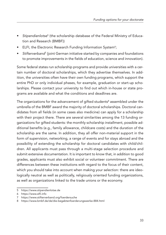- *Stipendienlotse*<sup>5</sup> (the scholarship database of the Federal Ministry of Education and Research (BMBF))
- ELFI, the Electronic Research Funding Information System<sup>6</sup>;
- *Stifterverband*<sup>7</sup> (joint German initiative started by companies and foundations to promote improvements in the fields of education, science and innovation).

Some federal states run scholarship programs and provide universities with a certain number of doctoral scholarships, which they advertise themselves. In addition, the universities often have their own funding programs, which support the entire PhD or only individual phases, for example, graduation or start-up scholarships. Please contact your university to find out which in-house or state programs are available and what the conditions and deadlines are.

The organizations for the advancement of gifted students<sup>8</sup> assembled under the umbrella of the BMBF award the majority of doctoral scholarships. Doctoral candidates from all fields (in some cases also medicine) can apply for a scholarship with their project there. There are several similarities among the 13 funding organizations for gifted students: the monthly scholarship installment, possible additional benefits (e.g., family allowance, childcare costs) and the duration of the scholarship are the same. In addition, they all offer non-material support in the form of supervision, networking, a range of events and for stays abroad and the possibility of extending the scholarship for doctoral candidates with child/children. All applicants must pass through a multi-stage selection procedure and submit extensive documentation. It is important to know that, in addition to good grades, applicants must also exhibit social or volunteer commitment. There are differences between these institutions with regard to the focus of their content, which you should take into account when making your selection: there are ideologically neutral as well as politically, religiously oriented funding organizations, as well as organizations linked to the trade unions or the economy.

<sup>5</sup> <https://www.stipendienlotse.de>

<sup>6</sup> <https://www.elfi.info>

<sup>7</sup> <https://www.stifterverband.org/foerdersuche>

<sup>8</sup> <https://www.bmbf.de/de/die-begabtenfoerderungswerke-884.html>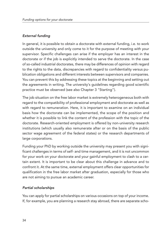#### *External funding*

In general, it is possible to obtain a doctorate with external funding, i.e. to work outside the university and only come to it for the purpose of meeting with your supervisor. Specific challenges can arise if the employer has an interest in the doctorate or if the job is explicitly intended to serve the doctorate. In the case of so-called industrial doctorates, there may be differences of opinion with regard to the rights to the data, discrepancies with regard to confidentiality versus publication obligations and different interests between supervisors and companies. You can prevent this by addressing these topics at the beginning and setting out the agreements in writing. The university's guidelines regarding good scientific practice must be observed (see also Chapter 3 "Starting").

The job situation on the free labor market is extremely heterogeneous both with regard to the compatibility of professional employment and doctorate as well as with regard to remuneration. Here, it is important to examine on an individual basis how the doctorate can be implemented, the scope of the position and whether it is possible to link the content of the profession with the topic of the doctorate. Research-oriented employment is offered by non-university research institutions (which usually also remunerate after or on the basis of the public sector wage agreement of the federal states) or the research departments of large corporations.

Funding your PhD by working outside the university may present you with significant challenges in terms of self- and time management, and it is not uncommon for your work on your doctorate and your gainful employment to clash to a certain extent. It is important to be clear about this challenge in advance and to confront it. At the same time, external employment offers clear opportunities for qualification in the free labor market after graduation, especially for those who are not aiming to pursue an academic career.

#### *Partial scholarships*

You can apply for partial scholarships on various occasions on top of your income. If, for example, you are planning a research stay abroad, there are separate scho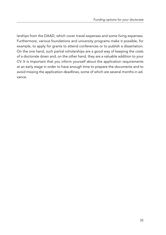larships from the DAAD, which cover travel expenses and some living expenses. Furthermore, various foundations and university programs make it possible, for example, to apply for grants to attend conferences or to publish a dissertation. On the one hand, such partial scholarships are a good way of keeping the costs of a doctorate down and, on the other hand, they are a valuable addition to your CV. It is important that you inform yourself about the application requirements at an early stage in order to have enough time to prepare the documents and to avoid missing the application deadlines, some of which are several months in advance.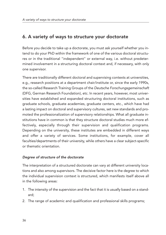## 6. A variety of ways to structure your doctorate

Before you decide to take up a doctorate, you must ask yourself whether you intend to do your PhD within the framework of one of the various doctoral structures or in the traditional "independent" or external way, i.e. without predetermined involvement in a structuring doctoral context and, if necessary, with only one supervisor.

There are traditionally different doctoral and supervising contexts at universities, e.g., research positions at a department chair/institute or, since the early 1990s, the so-called Research Training Groups of the *Deutsche Forschungsgemeinschaft* (DFG, German Research Foundation), etc. In recent years, however, most universities have established and expanded structuring doctoral institutions, such as graduate schools, graduate academies, graduate centers, etc., which have had a lasting impact on doctoral and supervisory cultures, set new standards and promoted the professionalization of supervisory relationships. What all graduate institutions have in common is that they structure doctoral studies much more effectively, especially through their supervision and qualification programs. Depending on the university, these institutes are embedded in different ways and offer a variety of services. Some institutions, for example, cover all faculties/departments of their university, while others have a clear subject-specific or thematic orientation.

#### *Degree of structure of the doctorate*

The interpretation of a structured doctorate can vary at different university locations and also among supervisors. The decisive factor here is the degree to which the individual supervision context is structured, which manifests itself above all in the following areas:

- 1. The intensity of the supervision and the fact that it is usually based on a standard;
- 2. The range of academic and qualification and professional skills programs;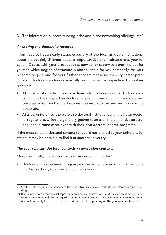3. The information, support, funding, scholarship and networking offerings, etc. 9

#### *Anchoring the doctoral structures*

Inform yourself at an early stage, especially at the local graduate institutions, about the possibly different doctoral opportunities and instituations at your location. Discuss with your prospective supervisor or supervisors and find out for yourself which degree of structure is most suitable for you personally, for your research project, and for your further academic or non-university career path. Different doctoral structures are usually laid down in the respective doctoral regulations:

- At most locations, faculties/departments formally carry out a doctorate according to their respective doctoral regulations and doctoral candidates receive services from the graduate institutions that structure and sponsor the doctorate;
- At a few universities, there are also doctoral institutions with their own doctoral regulations, which are generally geared to an even more intensive structuring, and in some cases even with their own doctoral degree programs.

If the most suitable doctoral context for you is not offered at your university location, it may be possible to find it at another university.

#### *The four relevant doctoral contexts / supervision contexts*

More specifically, these are structured in descending order<sup>10</sup>:

• Doctorate in a structured program, e.g., within a Research Training Group, a graduate school, or a special doctoral program;

<sup>9</sup> On the different financial aspects of the respective supervision contexts, see also chapter 5 "Funding".

<sup>10</sup> It should be noted that this list represents preliminary information, i.e. it focuses on some core characteristics and should not be regarded as definitive; moreover, these characteristics vary at the individual university locations, institutes or departments depending on the general conditions there.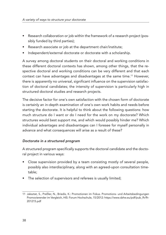- Research collaboration or job within the framework of a research project (possibly funded by third parties);
- Research associate or job at the department chair/institute;
- Independent/external doctorate or doctorate with a scholarship.

A survey among doctoral students on their doctoral and working conditions in these different doctoral contexts has shown, among other things, that the respective doctoral and working conditions can be very different and that each context can have advantages and disadvantages at the same time. <sup>11</sup> However, there is apparently no universal, significant influence on the supervision satisfaction of doctoral candidates; the intensity of supervision is particularly high in structured doctoral studies and research projects.

The decisive factor for one's own satisfaction with the chosen form of doctorate is certainly an in-depth examination of one's own work habits and needs before starting the doctorate. It is helpful to think about the following questions: how much structure do I want or do I need for the work on my doctorate? Which structures would best support me, and which would possibly hinder me? Which individual advantages and disadvantages can I foresee for myself personally in advance and what consequences will arise as a result of these?

#### *Doctorate in a structured program*

A structured program specifically supports the doctoral candidate and the doctoral project in various ways:

- Close supervision provided by a team consisting mostly of several people, possibly also interdisciplinary, along with an agreed-upon consultation timetable;
- The selection of supervisors and referees is usually limited;

<sup>11</sup> Jaksztat, S., Preßler, N., Briedis, K.: Promotionen im Fokus. Promotions- und Arbeitsbedingungen Promovierender im Vergleich, HIS: Forum Hochschule, 15/2012: [https://www.dzhw.eu/pdf/pub\\_fh/fh-](https://www.dzhw.eu/pdf/pub_fh/fh-201215.pdf)[201215.pdf](https://www.dzhw.eu/pdf/pub_fh/fh-201215.pdf)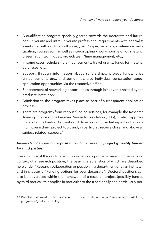- A qualification program specially geared towards the doctorate and future, non-university and intra-university professional requirements with specialist events, i.e. with doctoral colloquia, (main/upper) seminars, conference participation, courses etc., as well as interdisciplinary workshops, e.g., on rhetoric, presentation techniques, project/team/time management, etc.;
- In some cases, scholarship announcements, travel grants, funds for material purchases, etc.;
- Support through information about scholarships, project funds, prize announcements etc., and sometimes, also individual consultation about application opportunities via the respective office;
- Enhancement of networking opportunities through joint events hosted by the graduate institution;
- Admission to the program takes place as part of a transparent application process;
- There are programs from various funding settings, for example the Research Training Groups of the German Research Foundation (DFG), in which approximately ten to twelve doctoral candidates work on partial aspects of a common, overarching project topic and, in particular, receive close, and above all subject-related, support. 12

#### *Research collaboration or position within a research project (possibly funded by third parties)*

The structure of the doctorate in this variation is primarily based on the working context of a research position, the basic characteristics of which are described here under "Research collaboration or position in a department or at an institute" and in chapter 5 "Funding options for your doctorate". Doctoral positions can also be advertised within the framework of a research project (possibly funded by third parties); this applies in particular to the traditionally and particularly per-

<sup>12</sup> Detailed information is available at [www.dfg.de/foerderung/programme/koordinierte\\_](www.dfg.de/foerderung/programme/koordinierte_programme/graduiertenkollegs) [programme/graduiertenkollegs](www.dfg.de/foerderung/programme/koordinierte_programme/graduiertenkollegs)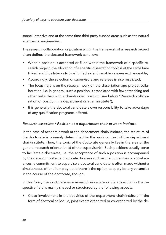sonnel-intensive and at the same time third party-funded areas such as the natural sciences or engineering.

The research collaboration or position within the framework of a research project often defines the doctoral framework as follows:

- When a position is accepted or filled within the framework of a specific research project, the allocation of a specific dissertation topic is at the same time linked and thus later only to a limited extent variable or even exchangeable;
- Accordingly, the selection of supervisors and referees is also restricted;
- The focus here is on the research work on the dissertation and project collaboration, i.e. in general, such a position is associated with fewer teaching and other tasks than with a chair-funded position (see below "Research collaboration or position in a department or at an institute");
- It is generally the doctoral candidate's own responsibility to take advantage of any qualification programs offered.

#### *Research associate / Position at a department chair or at an institute*

In the case of academic work at the department chair/institute, the structure of the doctorate is primarily determined by the work context of the department chair/institute. Here, the topic of the doctorate generally lies in the area of the general research orientation(s) of the supervisor(s). Such positions usually serve to facilitate a doctorate, i.e. the acceptance of such a position is accompanied by the decision to start a doctorate. In areas such as the humanities or social sciences, a commitment to supervise a doctoral candidate is often made without a simultaneous offer of employment; there is the option to apply for any vacancies in the course of the doctorate, though.

In this form, the doctorate as a research associate or via a position in the respective field is mainly shaped or structured by the following aspects:

• Close involvement in the activities of the department chair/institute in the form of doctoral colloquia, joint events organized or co-organized by the de-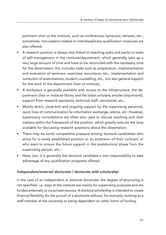partment chair or the institute, such as conferences, symposia, retreats, etc.; sometimes, non-subject-related or interdisciplinary qualification measures are also offered;

- A research position is always also linked to teaching tasks and partly to tasks of self-management in the institute/department, which generally take up a very large amount of time and have to be reconciled with the necessary time for the dissertation; this includes tasks such as preparation, implementation and evaluation of seminars, exercises, excursions, etc., implementation and correction of examinations, student counselling, etc., but also general support for the work of the department chair or institute;
- A workplace is generally available with access to the infrastructure, the department chair or institute library and the latest scholarly articles (important!), support from research assistants, technical staff, secretariat, etc.;
- Mostly direct, close-knit and ongoing support by the supervising person(s), quick lines of communication for information exchange, advice, etc. However, supervisory consultations are often also used to discuss teaching and chair matters within the framework of the position, which greatly reduces the time available for discussing research questions about the dissertation;
- There may be some competitive pressure among doctoral candidates who strive for a newly established position or an extension of their contract, or who want to ensure the future support in the postdoctoral phase from the supervising person, etc.;
- Here, too, it is generally the doctoral candidate's own responsibility to take advantage of any qualification programs offered.

#### *Independent/external doctorate / doctorate with scholarship*

In the case of an independent or external doctorate, the degree of structuring is not specified, i.e. stays at the institute are mainly for supervising purposes and are funded externally or via private sources. A doctoral scholarship is intended to create financial flexibility for the pursuit of a doctorate without, for example, working as a staff member at the university or being dependent on other forms of funding.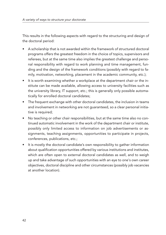This results in the following aspects with regard to the structuring and design of the doctoral period:

- A scholarship that is not awarded within the framework of structured doctoral programs offers the greatest freedom in the choice of topics, supervisors and referees, but at the same time also implies the greatest challenge and personal responsibility with regard to work planning and time management, funding and the design of the framework conditions (possibly with regard to family, motivation, networking, placement in the academic community, etc.);
- It is worth examining whether a workplace at the department chair or the institute can be made available, allowing access to university facilities such as the university library, IT support, etc.; this is generally only possible automatically for enrolled doctoral candidates;
- The frequent exchange with other doctoral candidates, the inclusion in teams and involvement in networking are not guaranteed, so a clear personal initiative is required;
- No teaching or other chair responsibilities, but at the same time also no continued automatic involvement in the work of the department chair or institute, possibly only limited access to information on job advertisements or assignments, teaching assignments, opportunities to participate in projects, conferences, publications, etc.;
- It is mostly the doctoral candidate's own responsibility to gather information about qualification opportunities offered by various institutions and institutes, which are often open to external doctoral candidates as well, and to weigh up and take advantage of such opportunities with an eye to one's own career objectives, doctoral discipline and other circumstances (possibly job vacancies at another location).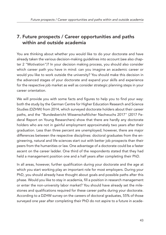## 7. Future prospects / Career opportunities and paths within and outside academia

You are thinking about whether you would like to do your doctorate and have already taken the various decision-making guidelines into account (see also chapter 2 "Motivation")? In your decision making process, you should also consider which career path you have in mind: can you imagine an academic career or would you like to work outside the university? You should make this decision in the advanced stages of your doctorate and expand your skills and experience for the respective job market as well as consider strategic planning steps in your career orientation.

We will provide you with some facts and figures to help you to find your way: both the study by the German Centre for Higher Education Research and Science Studies (DZHW) from 2014, which surveyed doctorate holders about their career paths, and the "Bundesbericht Wissenschaftlicher Nachwuchs 2017" (2017 Federal Report on Young Researchers) show that there are hardly any doctorate holders who are not in gainful employment approximately two years after their graduation. Less than three percent are unemployed; however, there are major differences between the respective disciplines: doctoral graduates from the engineering, natural and life sciences start out with better job prospects than their peers from the humanities or law. One advantage of a doctorate could be a faster ascent on the career ladder. One third of the respondents stated that they had held a management position one and a half years after completing their PhD.

In all areas, however, further qualification during your doctorate and the age at which you start working play an important role for most employers. During your PhD, you should already have thought about goals and possible paths after this phase. Would you like to stay in academia, fill a position in research management or enter the non-university labor market? You should have already set the milestones and qualifications required for these career paths during your doctorate. According to a DZHW survey on the careers of doctoral graduates, 55% of those surveyed one year after completing their PhD do not aspire to a future in acade-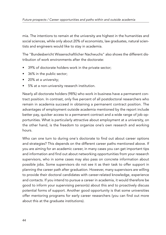mia. The intentions to remain at the university are highest in the humanities and social sciences, while only about 20% of economists, law graduates, natural scientists and engineers would like to stay in academia.

The "Bundesbericht Wissenschaftlicher Nachwuchs" also shows the different distribution of work environments after the doctorate:

- 39% of doctorate holders work in the private sector;
- 36% in the public sector;
- 20% at a university;
- 5% at a non-university research institution.

Nearly all doctorate holders (98%) who work in business have a permanent contract position. In contrast, only five percent of all postdoctoral researchers who remain in academia succeed in obtaining a permanent contract position. The advantages of employment outside academia mentioned by the report include better pay, quicker access to a permanent contract and a wide range of job opportunities. What is particularly attractive about employment at a university, on the other hand, is the freedom to organize one's own research and working hours.

Who can one turn to during one's doctorate to find out about career options and strategies? This depends on the different career paths mentioned above. If you are aiming for an academic career, in many cases you can get important tips and information and find out about networking opportunities from your research supervisors, who in some cases may also pass on concrete information about possible jobs. Some supervisors do not see it as their task to offer support in planning the career path after graduation. However, many supervisors are willing to provide their doctoral candidates with career-related knowledge, experience and contacts. If you intend to pursue a career in academia, it would therefore be good to inform your supervising person(s) about this and to proactively discuss potential forms of support. Another good opportunity is that some universities offer mentoring programs for early career researchers (you can find out more about this at the graduate institutions).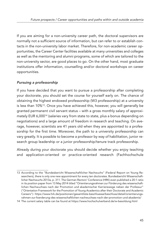If you are aiming for a non-university career path, the doctoral supervisors are normally not a sufficient source of information, but can refer to or establish contacts in the non-university labor market. Therefore, for non-academic career opportunities, the Career Center facilities available at many universities and colleges as well as the mentoring and alumni programs, some of which are tailored to the non-university sector, are good places to go. On the other hand, most graduate institutions offer information, counselling and/or doctoral workshops on career opportunities.

#### *Pursuing a professorship*

If you have decided that you want to pursue a professorship after completing your doctorate, you should set the course for yourself early on. The chance of obtaining the highest endowed professorship (W3 professorship) at a university is less than 10%13. Once you have achieved this, however, you will generally be granted permanent civil servant status – with a gross monthly salary of approximately EUR 6,00014 (salaries vary from state to state, plus a bonus depending on negotiations) and a large amount of freedom in research and teaching. On average, however, scientists are 41 years old when they are appointed to a professorship for the first time. Moreover, the path to a university professorship can vary greatly. It is possible to become a professor by way of habilitation, junior research group leadership or a junior professorship/tenure track professorship.

Already during your doctorate you should decide whether you enjoy teaching and application-oriented or practice-oriented research (Fachhochschule

<sup>13</sup> According to the "Bundesbericht Wissenschaftlicher Nachwuchs" (Federal Report on Young Researchers), there is only one new appointment for every ten doctorates. Bundesbericht Wissenschaftlicher Nachwuchs 2013a, p. 311. The German Rectors' Conference (HRK) even published a 20:1 ratio in its position paper from 13 May 2014 titled "Orientierungsrahmen zur Förderung des wissenschaftlichen Nachwuchses nach der Promotion und akademischer Karrierewege neben der Professur" ("Orientation Framework for the Promotion of Young Academics after their Doctorate and Academic Careers"): [https://www.hrk.de/positionen/gesamtliste-beschluesse/beschluss/detail/orientierungs](https://www.hrk.de/positionen/gesamtliste-beschluesse/beschluss/detail/orientierungsrahmen-zur-foerderung-des-wissenschaftlichen-nachwuchses-nach-der-promotion-und-akademis/)[rahmen-zur-foerderung-des-wissenschaftlichen-nachwuchses-nach-der-promotion-und-akademis/](https://www.hrk.de/positionen/gesamtliste-beschluesse/beschluss/detail/orientierungsrahmen-zur-foerderung-des-wissenschaftlichen-nachwuchses-nach-der-promotion-und-akademis/)

<sup>14</sup> The current salary table can be found at <https://www.hochschulverband.de/w-besoldung.html>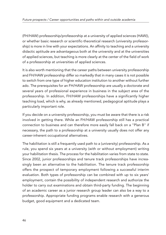(FH/HAW) professorship/professorship at a university of applied sciences (HAW)), or whether basic research or scientific-theoretical research (university professorship) is more in line with your expectations. An affinity to teaching and a university didactic aptitude are advantageous both at the university and at the universities of applied sciences, but teaching is more clearly at the center of the field of work of a professorship at universities of applied sciences.

It is also worth mentioning that the career paths between university professorship and FH/HAW professorship differ so markedly that in many cases it is not possible to switch from one type of higher education institution to another without further ado. The prerequisites for an FH/HAW professorship are usually a doctorate and several years of professional experience in business in the subject area of the professorship. In addition, FH/HAW professorships have a significantly higher teaching load, which is why, as already mentioned, pedagogical aptitude plays a particularly important role.

If you decide on a university professorship, you must be aware that there is a risk involved in getting there. While an FH/HAW professorship still has a practical connection to business and can therefore more easily fall back on a "Plan B" if necessary, the path to a professorship at a university usually does not offer any career-inherent occupational alternatives.

The habilitation is still a frequently used path to a (university) professorship. As a rule, you spend six years at a university (with or without employment) writing your habilitation thesis. The process for the habilitation varies from state to state. Since 2002, junior professorships and tenure track professorships have increasingly been an alternative to the habilitation. The tenure track professorship offers the prospect of temporary employment following a successful interim evaluation. Both types of professorship can be combined with up to six years' employment, contain the possibility of independent research and authorize the holder to carry out examinations and obtain third-party funding. The beginning of an academic career as a junior research group leader can also be a way to a professorship. Appropriate funding programs enable research with a generous budget, good equipment and a dedicated team.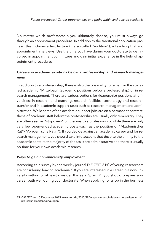No matter which professorship you ultimately choose, you must always go through an appointment procedure. In addition to the traditional application process, this includes a test lecture (the so-called "audition"), a teaching trial and appointment interviews. Use the time you have during your doctorate to get involved in appointment committees and gain initial experience in the field of appointment procedures.

#### *Careers in academic positions below a professorship and research management*

In addition to a professorship, there is also the possibility to remain in the so-called academic "Mittelbau" (academic positions below a professorship) or in research management. There are various options for (leadership) positions at universities: in research and teaching, research facilities, technology and research transfer and in academic support tasks such as research management and administration. While some of the academic support jobs are on a permanent contract, those of academic staff below the professorship are usually only temporary. They are often seen as "stopovers" on the way to a professorship, while there are only very few open-ended academic posts (such as the position of "Akademischer Rat"/"Akademische Rätin"). If you decide against an academic career and for research management, you should take into account that despite the affinity to the academic context, the majority of the tasks are administrative and there is usually no time for your own academic research.

#### *Ways to gain non-university employment*

According to a survey by the weekly journal DIE ZEIT, 81% of young researchers are considering leaving academia. <sup>15</sup> If you are interested in a career in a non-university setting or at least consider this as a "plan B", you should prepare your career path well during your doctorate. When applying for a job in the business

<sup>15</sup> *DIE ZEIT* from 5 December 2015: [www.zeit.de/2015/49/junge-wissenschaftler-karriere-wissenschaft](www.zeit.de/2015/49/junge-wissenschaftler-karriere-wissenschaft-professur-arbeitsbedingungen)[professur-arbeitsbedingungen](www.zeit.de/2015/49/junge-wissenschaftler-karriere-wissenschaft-professur-arbeitsbedingungen)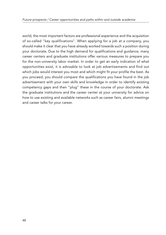world, the most important factors are professional experience and the acquisition of so-called "key qualifications". When applying for a job at a company, you should make it clear that you have already worked towards such a position during your doctorate. Due to the high demand for qualifications and guidance, many career centers and graduate institutions offer various measures to prepare you for the non-university labor market. In order to get an early indication of what opportunities exist, it is advisable to look at job advertisements and find out which jobs would interest you most and which might fit your profile the best. As you proceed, you should compare the qualifications you have found in the job advertisement with your own skills and knowledge in order to identify existing competency gaps and then "plug" these in the course of your doctorate. Ask the graduate institutions and the career center at your university for advice on how to use existing and available networks such as career fairs, alumni meetings and career talks for your career.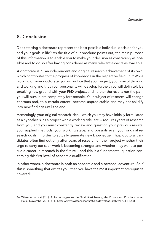## 8. Conclusion

Does starting a doctorate represent the best possible individual decision for you and your goals in life? As the title of our brochure points out, the main purpose of this information is to enable you to make your decision as consciously as possible and to do so after having considered as many relevant aspects as available.

A doctorate is "...an independent and original research achievement of its own, which contributes to the progress of knowledge in the respective field...". <sup>16</sup> While working on your doctorate, you will notice that your project, your way of thinking and working and thus your personality will develop further: you will definitely be breaking new ground with your PhD project, and neither the results nor the path you will pursue are completely foreseeable. Your subject of research will change contours and, to a certain extent, become unpredictable and may not solidify into new findings until the end.

Accordingly, your original research idea – which you may have initially formulated as a hypothesis, as a project with a working title, etc. – requires years of research from you, and you must constantly review and question your previous results, your applied methods, your working steps, and possibly even your original research goals, in order to actually generate new knowledge. Thus, doctoral candidates often find out only after years of research on their project whether their urge to carry out such work is becoming stronger and whether they want to pursue a career in research in the future – and this is a fundamental question concerning this first level of academic qualification.

In other words, a doctorate is both an academic and a personal adventure. So if this is something that excites you, then you have the most important prerequisite covered!

<sup>16</sup> Wissenschaftsrat (Ed.): Anforderungen an die Qualitätssicherung der Promotion. Positionspaper. Halle, November 2011, p. 8: <https://www.wissenschaftsrat.de/download/archiv/1704-11.pdf>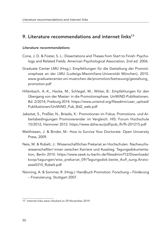### 9. Literature recommendations and internet links<sup>17</sup>

#### *Literature recommendations*

- Cone, J. D. & Foster, S. L.: Dissertations and Theses from Start to Finish: Psychology and Related Fields. American Psychological Association, 2nd ed. 2006.
- Graduate Center LMU (Hrsg.): Empfehlungen für die Gestaltung der Promotionsphase an der LMU (Ludwigs-Maximilians-Universität München), 2010. [www.graduatecenter.uni-muenchen.de/promotion/betreuung/gestaltung\\_](www.graduatecenter.uni-muenchen.de/promotion/betreuung/gestaltung_promotion.pdf) [promotion.pdf](www.graduatecenter.uni-muenchen.de/promotion/betreuung/gestaltung_promotion.pdf)
- Hillenbach, A.-K., Hacke, M., Schlegel, M., Witter, B.: Empfehlungen für den Übergang von der Master- in die Promotionsphase. UniWiND-Publikationen, Bd. 2/2014, Freiburg 2014. [https://www.uniwind.org/fileadmin/user\\_upload/](https://www.uniwind.org/fileadmin/user_upload/Publikationen/UniWiND_Pub_Bd2_web.pdf) [Publikationen/UniWiND\\_Pub\\_Bd2\\_web.pdf](https://www.uniwind.org/fileadmin/user_upload/Publikationen/UniWiND_Pub_Bd2_web.pdf)
- Jaksztat, S., Preßler, N., Briedis, K.: Promotionen im Fokus. Promotions- und Arbeitsbedingungen Promovierender im Vergleich. HIS: Forum Hochschule 15/2012, Hannover 2012. [https://www.dzhw.eu/pdf/pub\\_fh/fh-201215.pdf](https://www.dzhw.eu/pdf/pub_fh/fh-201215.pdf)
- Matthiesen, J. & Binder, M.: How to Survive Your Doctorate. Open University Press, 2009.
- Neis, M. & Rubelt, J.: Wissenschaftliches Prekariat an Hochschulen. Nachwuchswissenschaftler/-innen zwischen Karriere und Ausstieg. Tagungsdokumentation, Berlin 2010. [https://www.zewk.tu-berlin.de/fileadmin/f12/Downloads/](https://www.zewk.tu-berlin.de/fileadmin/f12/Downloads/koop/tagungen/wiss_prekariat_09/Tagungsdok.beste_Aufl_sung.Anstoesse0310_Rubelt.pdf) [koop/tagungen/wiss\\_prekariat\\_09/Tagungsdok.beste\\_Aufl\\_sung.Ansto](https://www.zewk.tu-berlin.de/fileadmin/f12/Downloads/koop/tagungen/wiss_prekariat_09/Tagungsdok.beste_Aufl_sung.Anstoesse0310_Rubelt.pdf)[esse0310\\_Rubelt.pdf](https://www.zewk.tu-berlin.de/fileadmin/f12/Downloads/koop/tagungen/wiss_prekariat_09/Tagungsdok.beste_Aufl_sung.Anstoesse0310_Rubelt.pdf)
- Nünning, A. & Sommer, R. (Hrsg.): Handbuch Promotion: Forschung Förderung – Finanzierung. Stuttgart 2007.

<sup>17</sup> Internet links were checked on 29 November 2019.